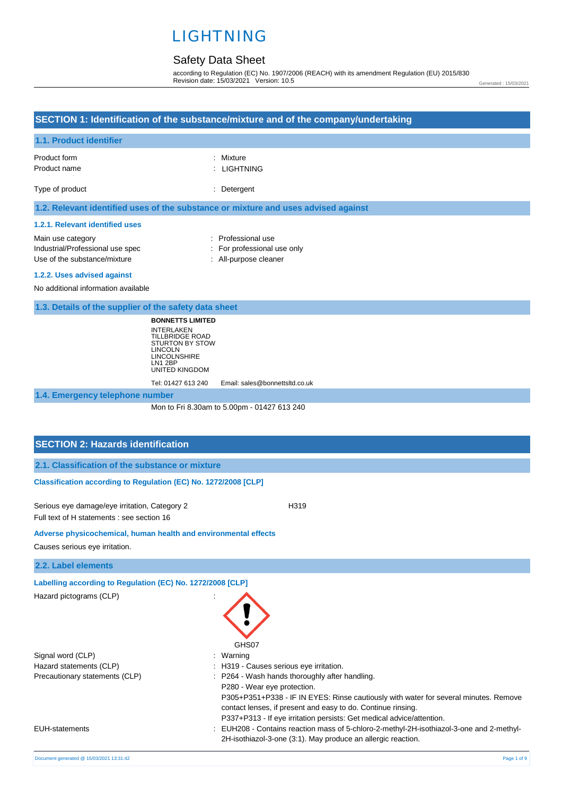# Safety Data Sheet

according to Regulation (EC) No. 1907/2006 (REACH) with its amendment Regulation (EU) 2015/830 Revision date: 15/03/2021 Version: 10.5

Generated : 15/03/2021

# **SECTION 1: Identification of the substance/mixture and of the company/undertaking**

|  | 1.1. Product identifier |
|--|-------------------------|
|  |                         |

| Product form<br>Product name                                                       | : Mixture<br>: LIGHTNING |
|------------------------------------------------------------------------------------|--------------------------|
| Type of product                                                                    | : Detergent              |
| 1.2. Relevant identified uses of the substance or mixture and uses advised against |                          |

## **1.2.1. Relevant identified uses**

| Main use category                | : Professional use          |
|----------------------------------|-----------------------------|
| Industrial/Professional use spec | : For professional use only |
| Use of the substance/mixture     | : All-purpose cleaner       |
|                                  |                             |

#### **1.2.2. Uses advised against**

No additional information available

| 1.3. Details of the supplier of the safety data sheet |  |  |  |  |  |
|-------------------------------------------------------|--|--|--|--|--|
|-------------------------------------------------------|--|--|--|--|--|

**BONNETTS LIMITED** INTERLAKEN TILLBRIDGE ROAD STURTON BY STOW LINCOLN LINCOLNSHIRE LN1 2BP UNITED KINGDOM

Tel: 01427 613 240 Email: sales@bonnettsltd.co.uk

**1.4. Emergency telephone number**

Mon to Fri 8.30am to 5.00pm - 01427 613 240

| <b>SECTION 2: Hazards identification</b>                                                    |                                                                                                                                                                                                                                                                                                                                                                    |
|---------------------------------------------------------------------------------------------|--------------------------------------------------------------------------------------------------------------------------------------------------------------------------------------------------------------------------------------------------------------------------------------------------------------------------------------------------------------------|
| 2.1. Classification of the substance or mixture                                             |                                                                                                                                                                                                                                                                                                                                                                    |
| Classification according to Regulation (EC) No. 1272/2008 [CLP]                             |                                                                                                                                                                                                                                                                                                                                                                    |
| Serious eye damage/eye irritation, Category 2<br>Full text of H statements : see section 16 | H319                                                                                                                                                                                                                                                                                                                                                               |
| Adverse physicochemical, human health and environmental effects                             |                                                                                                                                                                                                                                                                                                                                                                    |
| Causes serious eye irritation.                                                              |                                                                                                                                                                                                                                                                                                                                                                    |
| 2.2. Label elements                                                                         |                                                                                                                                                                                                                                                                                                                                                                    |
| Labelling according to Regulation (EC) No. 1272/2008 [CLP]<br>Hazard pictograms (CLP)       | GHS07                                                                                                                                                                                                                                                                                                                                                              |
| Signal word (CLP)<br>Hazard statements (CLP)<br>Precautionary statements (CLP)              | Warning<br>: H319 - Causes serious eye irritation.<br>P264 - Wash hands thoroughly after handling.<br>P280 - Wear eye protection.<br>P305+P351+P338 - IF IN EYES: Rinse cautiously with water for several minutes. Remove<br>contact lenses, if present and easy to do. Continue rinsing.<br>P337+P313 - If eye irritation persists: Get medical advice/attention. |
| <b>EUH-statements</b>                                                                       | EUH208 - Contains reaction mass of 5-chloro-2-methyl-2H-isothiazol-3-one and 2-methyl-<br>2H-isothiazol-3-one (3:1). May produce an allergic reaction.                                                                                                                                                                                                             |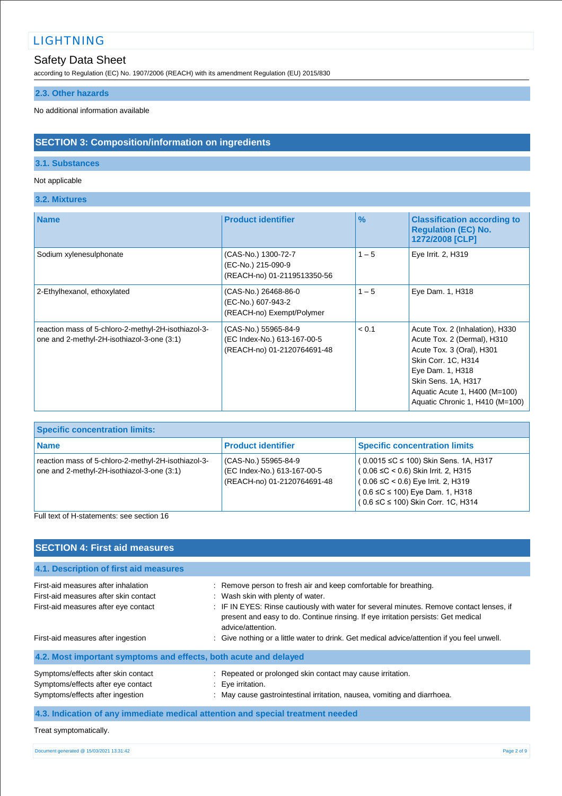# Safety Data Sheet

according to Regulation (EC) No. 1907/2006 (REACH) with its amendment Regulation (EU) 2015/830

# **2.3. Other hazards**

No additional information available

# **SECTION 3: Composition/information on ingredients**

## **3.1. Substances**

## Not applicable

**3.2. Mixtures**

| <b>Name</b>                                                                                       | <b>Product identifier</b>                                                          | $\frac{9}{6}$ | <b>Classification according to</b><br><b>Regulation (EC) No.</b><br>1272/2008 [CLP]                                                                                                                                               |
|---------------------------------------------------------------------------------------------------|------------------------------------------------------------------------------------|---------------|-----------------------------------------------------------------------------------------------------------------------------------------------------------------------------------------------------------------------------------|
| Sodium xylenesulphonate                                                                           | (CAS-No.) 1300-72-7<br>(EC-No.) 215-090-9<br>(REACH-no) 01-2119513350-56           | $1 - 5$       | Eye Irrit. 2, H319                                                                                                                                                                                                                |
| 2-Ethylhexanol, ethoxylated                                                                       | (CAS-No.) 26468-86-0<br>(EC-No.) 607-943-2<br>(REACH-no) Exempt/Polymer            | $1 - 5$       | Eye Dam. 1, H318                                                                                                                                                                                                                  |
| reaction mass of 5-chloro-2-methyl-2H-isothiazol-3-<br>one and 2-methyl-2H-isothiazol-3-one (3:1) | (CAS-No.) 55965-84-9<br>(EC Index-No.) 613-167-00-5<br>(REACH-no) 01-2120764691-48 | < 0.1         | Acute Tox. 2 (Inhalation), H330<br>Acute Tox. 2 (Dermal), H310<br>Acute Tox. 3 (Oral), H301<br>Skin Corr. 1C, H314<br>Eye Dam. 1, H318<br>Skin Sens. 1A, H317<br>Aquatic Acute 1, H400 (M=100)<br>Aquatic Chronic 1, H410 (M=100) |

| <b>Specific concentration limits:</b>                                                             |                                                                                    |                                                                                                                                                                                                                          |
|---------------------------------------------------------------------------------------------------|------------------------------------------------------------------------------------|--------------------------------------------------------------------------------------------------------------------------------------------------------------------------------------------------------------------------|
| <b>Name</b>                                                                                       | <b>Product identifier</b>                                                          | <b>Specific concentration limits</b>                                                                                                                                                                                     |
| reaction mass of 5-chloro-2-methyl-2H-isothiazol-3-<br>one and 2-methyl-2H-isothiazol-3-one (3:1) | (CAS-No.) 55965-84-9<br>(EC Index-No.) 613-167-00-5<br>(REACH-no) 01-2120764691-48 | $(0.0015 \leq C \leq 100)$ Skin Sens. 1A, H317<br>$(0.06 \leq C < 0.6)$ Skin Irrit. 2, H315<br>$(0.06 \leq C < 0.6)$ Eye Irrit. 2, H319<br>$(0.6 \leq C \leq 100)$ Eye Dam. 1, H318<br>0.6 ≤C ≤ 100) Skin Corr. 1C, H314 |
| $\Box$ . It is not that the interest contains a state of $\Box$ and $\Box$                        |                                                                                    |                                                                                                                                                                                                                          |

Full text of H-statements: see section 16

| <b>SECTION 4: First aid measures</b>                                                                                 |                                                                                                                                                                                                                                                                                                             |
|----------------------------------------------------------------------------------------------------------------------|-------------------------------------------------------------------------------------------------------------------------------------------------------------------------------------------------------------------------------------------------------------------------------------------------------------|
| 4.1. Description of first aid measures                                                                               |                                                                                                                                                                                                                                                                                                             |
| First-aid measures after inhalation<br>First-aid measures after skin contact<br>First-aid measures after eye contact | : Remove person to fresh air and keep comfortable for breathing.<br>: Wash skin with plenty of water.<br>: IF IN EYES: Rinse cautiously with water for several minutes. Remove contact lenses, if<br>present and easy to do. Continue rinsing. If eye irritation persists: Get medical<br>advice/attention. |
| First-aid measures after ingestion                                                                                   | : Give nothing or a little water to drink. Get medical advice/attention if you feel unwell.                                                                                                                                                                                                                 |
| 4.2. Most important symptoms and effects, both acute and delayed                                                     |                                                                                                                                                                                                                                                                                                             |
| Symptoms/effects after skin contact<br>Symptoms/effects after eye contact<br>Symptoms/effects after ingestion        | : Repeated or prolonged skin contact may cause irritation.<br>: Eye irritation.<br>: May cause gastrointestinal irritation, nausea, vomiting and diarrhoea.                                                                                                                                                 |
|                                                                                                                      | 4.3. Indication of any immediate medical attention and special treatment needed                                                                                                                                                                                                                             |

```
Treat symptomatically.
```

```
Document generated @ 15/03/2021 13:31:42 Page 2 of 9
```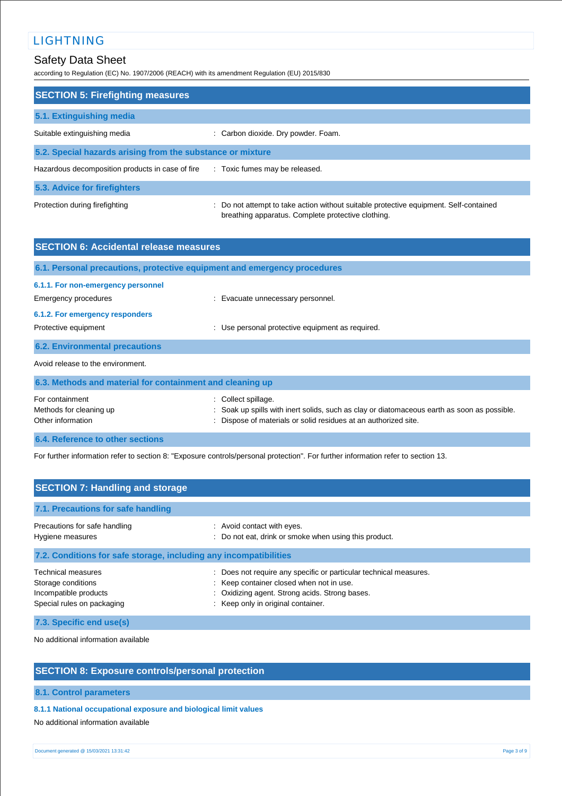# Safety Data Sheet

according to Regulation (EC) No. 1907/2006 (REACH) with its amendment Regulation (EU) 2015/830

| <b>SECTION 5: Firefighting measures</b>                    |                                                                                                                                             |  |  |  |
|------------------------------------------------------------|---------------------------------------------------------------------------------------------------------------------------------------------|--|--|--|
| 5.1. Extinguishing media                                   |                                                                                                                                             |  |  |  |
| Suitable extinguishing media                               | : Carbon dioxide. Dry powder. Foam.                                                                                                         |  |  |  |
| 5.2. Special hazards arising from the substance or mixture |                                                                                                                                             |  |  |  |
| Hazardous decomposition products in case of fire           | : Toxic fumes may be released.                                                                                                              |  |  |  |
| 5.3. Advice for firefighters                               |                                                                                                                                             |  |  |  |
| Protection during firefighting                             | : Do not attempt to take action without suitable protective equipment. Self-contained<br>breathing apparatus. Complete protective clothing. |  |  |  |

| <b>SECTION 6: Accidental release measures</b>                                                                                                                                   |
|---------------------------------------------------------------------------------------------------------------------------------------------------------------------------------|
| 6.1. Personal precautions, protective equipment and emergency procedures                                                                                                        |
|                                                                                                                                                                                 |
| : Evacuate unnecessary personnel.                                                                                                                                               |
|                                                                                                                                                                                 |
| : Use personal protective equipment as required.                                                                                                                                |
|                                                                                                                                                                                 |
|                                                                                                                                                                                 |
| 6.3. Methods and material for containment and cleaning up                                                                                                                       |
| Collect spillage.<br>Soak up spills with inert solids, such as clay or diatomaceous earth as soon as possible.<br>Dispose of materials or solid residues at an authorized site. |
|                                                                                                                                                                                 |

**6.4. Reference to other sections**

For further information refer to section 8: "Exposure controls/personal protection". For further information refer to section 13.

| <b>SECTION 7: Handling and storage</b>                                                                 |                                                                                                                                                                                                     |
|--------------------------------------------------------------------------------------------------------|-----------------------------------------------------------------------------------------------------------------------------------------------------------------------------------------------------|
| 7.1. Precautions for safe handling                                                                     |                                                                                                                                                                                                     |
| Precautions for safe handling<br>Hygiene measures                                                      | : Avoid contact with eyes.<br>: Do not eat, drink or smoke when using this product.                                                                                                                 |
| 7.2. Conditions for safe storage, including any incompatibilities                                      |                                                                                                                                                                                                     |
| <b>Technical measures</b><br>Storage conditions<br>Incompatible products<br>Special rules on packaging | Does not require any specific or particular technical measures.<br>: Keep container closed when not in use.<br>: Oxidizing agent. Strong acids. Strong bases.<br>: Keep only in original container. |

**7.3. Specific end use(s)**

No additional information available

## **SECTION 8: Exposure controls/personal protection**

## **8.1. Control parameters**

## **8.1.1 National occupational exposure and biological limit values**

No additional information available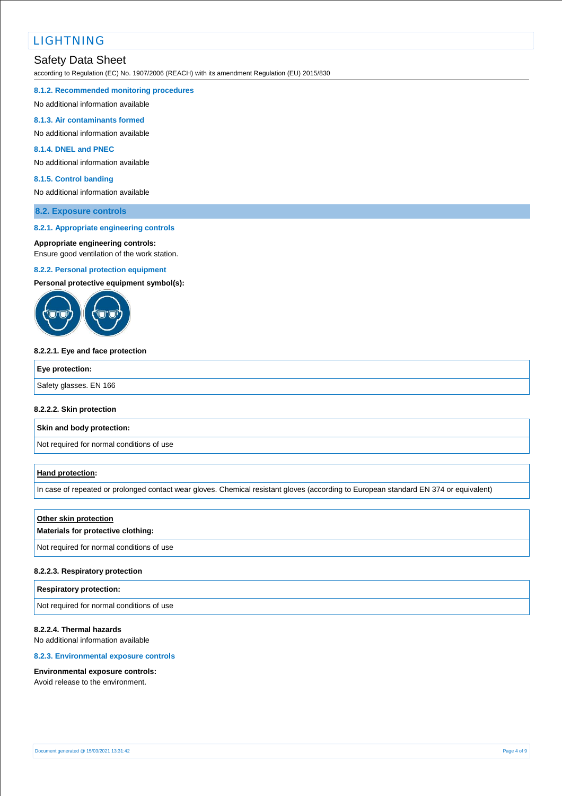# Safety Data Sheet

according to Regulation (EC) No. 1907/2006 (REACH) with its amendment Regulation (EU) 2015/830

#### **8.1.2. Recommended monitoring procedures**

No additional information available

#### **8.1.3. Air contaminants formed**

No additional information available

### **8.1.4. DNEL and PNEC**

No additional information available

#### **8.1.5. Control banding**

No additional information available

## **8.2. Exposure controls**

#### **8.2.1. Appropriate engineering controls**

#### **Appropriate engineering controls:**

Ensure good ventilation of the work station.

#### **8.2.2. Personal protection equipment**

**Personal protective equipment symbol(s):**



#### **8.2.2.1. Eye and face protection**

| Eye protection:        |  |
|------------------------|--|
| Safety glasses. EN 166 |  |

#### **8.2.2.2. Skin protection**

**Skin and body protection:**

Not required for normal conditions of use

### **Hand protection:**

In case of repeated or prolonged contact wear gloves. Chemical resistant gloves (according to European standard EN 374 or equivalent)

## **Other skin protection**

## **Materials for protective clothing:**

Not required for normal conditions of use

#### **8.2.2.3. Respiratory protection**

### **Respiratory protection:**

Not required for normal conditions of use

## **8.2.2.4. Thermal hazards**

No additional information available

## **8.2.3. Environmental exposure controls**

#### **Environmental exposure controls:**

Avoid release to the environment.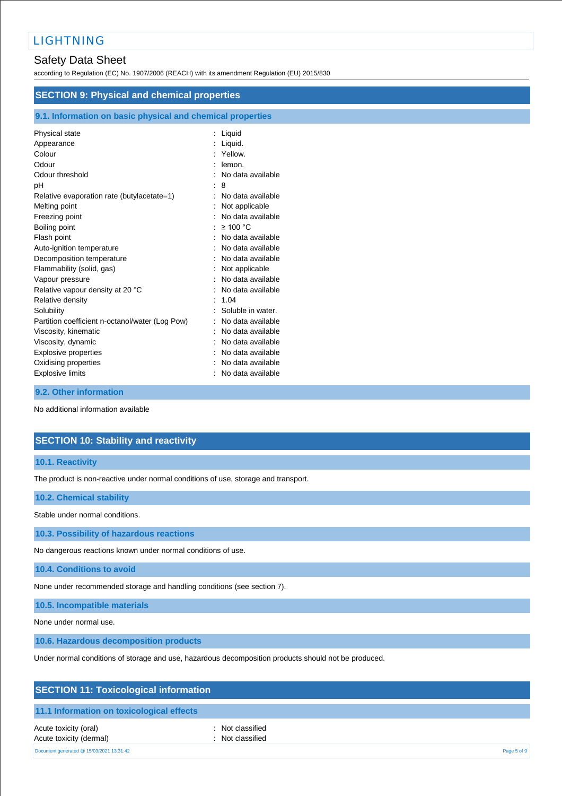# Safety Data Sheet

according to Regulation (EC) No. 1907/2006 (REACH) with its amendment Regulation (EU) 2015/830

| <b>SECTION 9: Physical and chemical properties</b>         |                     |  |  |
|------------------------------------------------------------|---------------------|--|--|
| 9.1. Information on basic physical and chemical properties |                     |  |  |
| Physical state                                             | : Liquid            |  |  |
| Appearance                                                 | Liquid.             |  |  |
| Colour                                                     | : Yellow.           |  |  |
| Odour                                                      | lemon.              |  |  |
| Odour threshold                                            | No data available   |  |  |
| рH                                                         | : 8                 |  |  |
| Relative evaporation rate (butylacetate=1)                 | No data available   |  |  |
| Melting point                                              | Not applicable      |  |  |
| Freezing point                                             | No data available   |  |  |
| Boiling point                                              | $\geq$ 100 °C       |  |  |
| Flash point                                                | No data available   |  |  |
| Auto-ignition temperature                                  | No data available   |  |  |
| Decomposition temperature                                  | No data available   |  |  |
| Flammability (solid, gas)                                  | Not applicable      |  |  |
| Vapour pressure                                            | No data available   |  |  |
| Relative vapour density at 20 °C                           | No data available   |  |  |
| Relative density                                           | 1.04                |  |  |
| Solubility                                                 | Soluble in water.   |  |  |
| Partition coefficient n-octanol/water (Log Pow)            | No data available   |  |  |
| Viscosity, kinematic                                       | No data available   |  |  |
| Viscosity, dynamic                                         | No data available   |  |  |
| Explosive properties                                       | No data available   |  |  |
| Oxidising properties                                       | No data available   |  |  |
| <b>Explosive limits</b>                                    | : No data available |  |  |

# **9.2. Other information**

No additional information available

# **SECTION 10: Stability and reactivity**

### **10.1. Reactivity**

The product is non-reactive under normal conditions of use, storage and transport.

### **10.2. Chemical stability**

Stable under normal conditions.

**10.3. Possibility of hazardous reactions**

No dangerous reactions known under normal conditions of use.

**10.4. Conditions to avoid**

None under recommended storage and handling conditions (see section 7).

**10.5. Incompatible materials**

None under normal use.

**10.6. Hazardous decomposition products**

Under normal conditions of storage and use, hazardous decomposition products should not be produced.

| <b>SECTION 11: Toxicological information</b> |  |
|----------------------------------------------|--|
|----------------------------------------------|--|

## **11.1 Information on toxicological effects**

Acute toxicity (oral) **interval** to the control of the control of the control of the control of the control of the control of the control of the control of the control of the control of the control of the control of the co Acute toxicity (dermal) **Example 2** Constant Constant Constant Constant Constant Constant Constant Constant Constant Constant Constant Constant Constant Constant Constant Constant Constant Constant Constant Constant Consta Document generated @ 15/03/2021 13:31:42 Page 5 of 9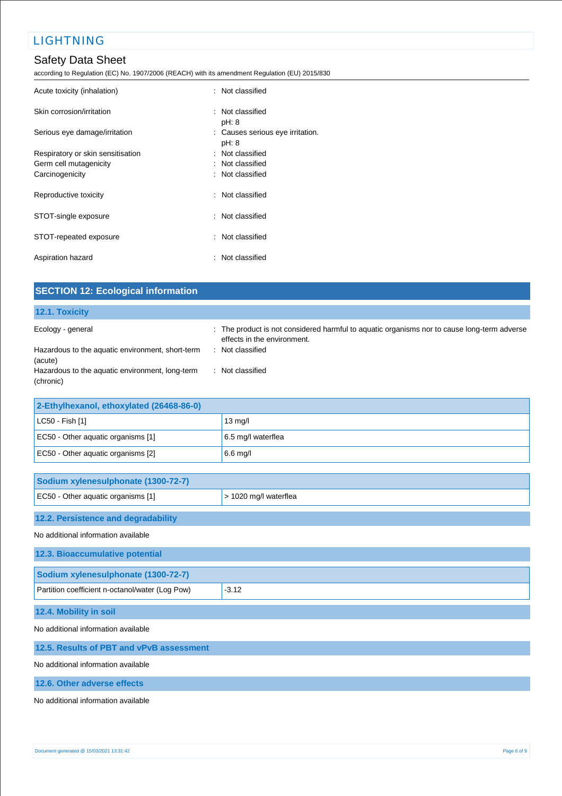# Safety Data Sheet

according to Regulation (EC) No. 1907/2006 (REACH) with its amendment Regulation (EU) 2015/830

| Acute toxicity (inhalation)       | : Not classified                          |
|-----------------------------------|-------------------------------------------|
| Skin corrosion/irritation         | : Not classified<br>pH: 8                 |
| Serious eye damage/irritation     | : Causes serious eye irritation.<br>pH: 8 |
| Respiratory or skin sensitisation | : Not classified                          |
| Germ cell mutagenicity            | : Not classified                          |
| Carcinogenicity                   | : Not classified                          |
| Reproductive toxicity             | : Not classified                          |
| STOT-single exposure              | : Not classified                          |
| STOT-repeated exposure            | : Not classified                          |
| Aspiration hazard                 | : Not classified                          |

| <b>SECTION 12: Ecological information</b>                    |                                                                                                                          |
|--------------------------------------------------------------|--------------------------------------------------------------------------------------------------------------------------|
| 12.1. Toxicity                                               |                                                                                                                          |
| Ecology - general                                            | The product is not considered harmful to aquatic organisms nor to cause long-term adverse<br>effects in the environment. |
| Hazardous to the aquatic environment, short-term<br>(acute)  | : Not classified                                                                                                         |
| Hazardous to the aquatic environment, long-term<br>(chronic) | : Not classified                                                                                                         |
| 2-Ethylhexanol, ethoxylated (26468-86-0)                     |                                                                                                                          |
| LC50 - Fish [1]                                              | 13 mg/l                                                                                                                  |
| EC50 - Other aquatic organisms [1]                           | 6.5 mg/l waterflea                                                                                                       |
| EC50 - Other aquatic organisms [2]                           | 6.6 mg/l                                                                                                                 |
| Sodium xylenesulphonate (1300-72-7)                          |                                                                                                                          |
| EC50 - Other aquatic organisms [1]                           | > 1020 mg/l waterflea                                                                                                    |
| 12.2. Persistence and degradability                          |                                                                                                                          |

## No additional information available

| 12.3. Bioaccumulative potential                 |         |
|-------------------------------------------------|---------|
| Sodium xylenesulphonate (1300-72-7)             |         |
| Partition coefficient n-octanol/water (Log Pow) | $-3.12$ |
| 12.4. Mobility in soil                          |         |

No additional information available

## **12.5. Results of PBT and vPvB assessment**

No additional information available

## **12.6. Other adverse effects**

No additional information available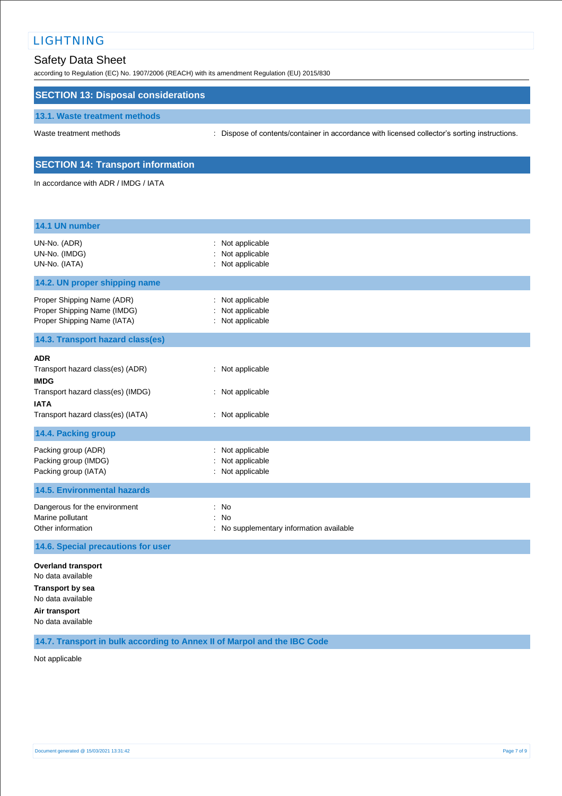# Safety Data Sheet

according to Regulation (EC) No. 1907/2006 (REACH) with its amendment Regulation (EU) 2015/830

## **SECTION 13: Disposal considerations**

#### **13.1. Waste treatment methods**

Waste treatment methods : Dispose of contents/container in accordance with licensed collector's sorting instructions.

## **SECTION 14: Transport information**

In accordance with ADR / IMDG / IATA

| 14.1 UN number                                                                                                                                         |                                                             |
|--------------------------------------------------------------------------------------------------------------------------------------------------------|-------------------------------------------------------------|
| UN-No. (ADR)<br>UN-No. (IMDG)<br>UN-No. (IATA)                                                                                                         | : Not applicable<br>Not applicable<br>Not applicable        |
| 14.2. UN proper shipping name                                                                                                                          |                                                             |
| Proper Shipping Name (ADR)<br>Proper Shipping Name (IMDG)<br>Proper Shipping Name (IATA)                                                               | Not applicable<br>Not applicable<br>: Not applicable        |
| 14.3. Transport hazard class(es)                                                                                                                       |                                                             |
| <b>ADR</b><br>Transport hazard class(es) (ADR)<br><b>IMDG</b><br>Transport hazard class(es) (IMDG)<br><b>IATA</b><br>Transport hazard class(es) (IATA) | : Not applicable<br>: Not applicable<br>: Not applicable    |
| 14.4. Packing group                                                                                                                                    |                                                             |
| Packing group (ADR)<br>Packing group (IMDG)<br>Packing group (IATA)                                                                                    | Not applicable<br>Not applicable<br>Not applicable          |
| <b>14.5. Environmental hazards</b>                                                                                                                     |                                                             |
| Dangerous for the environment<br>Marine pollutant<br>Other information                                                                                 | : No<br><b>No</b><br>No supplementary information available |
| 14.6. Special precautions for user                                                                                                                     |                                                             |
| <b>Overland transport</b><br>No data available<br><b>Transport by sea</b><br>No data available<br>Air transport<br>No data available                   |                                                             |

**14.7. Transport in bulk according to Annex II of Marpol and the IBC Code**

Not applicable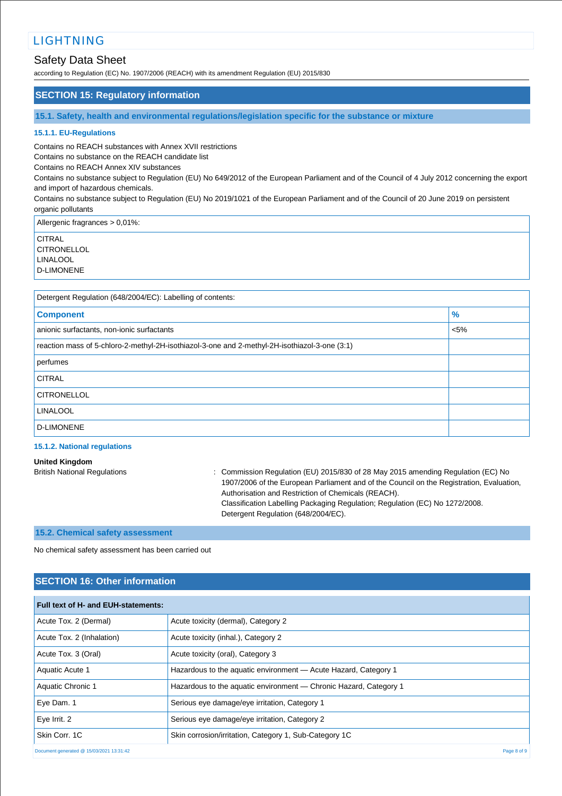# Safety Data Sheet

according to Regulation (EC) No. 1907/2006 (REACH) with its amendment Regulation (EU) 2015/830

## **SECTION 15: Regulatory information**

**15.1. Safety, health and environmental regulations/legislation specific for the substance or mixture**

#### **15.1.1. EU-Regulations**

Contains no REACH substances with Annex XVII restrictions

Contains no substance on the REACH candidate list

Contains no REACH Annex XIV substances

Contains no substance subject to Regulation (EU) No 649/2012 of the European Parliament and of the Council of 4 July 2012 concerning the export and import of hazardous chemicals.

Contains no substance subject to Regulation (EU) No 2019/1021 of the European Parliament and of the Council of 20 June 2019 on persistent organic pollutants

Allergenic fragrances > 0,01%:

**CITRAL CITRONELLOL** LINALOOL D-LIMONENE

| Detergent Regulation (648/2004/EC): Labelling of contents:                                    |         |  |
|-----------------------------------------------------------------------------------------------|---------|--|
| <b>Component</b>                                                                              | $\%$    |  |
| anionic surfactants, non-ionic surfactants                                                    | $< 5\%$ |  |
| reaction mass of 5-chloro-2-methyl-2H-isothiazol-3-one and 2-methyl-2H-isothiazol-3-one (3:1) |         |  |
| perfumes                                                                                      |         |  |
| <b>CITRAL</b>                                                                                 |         |  |
| <b>CITRONELLOL</b>                                                                            |         |  |
| <b>LINALOOL</b>                                                                               |         |  |
| <b>D-LIMONENE</b>                                                                             |         |  |

## **15.1.2. National regulations**

#### **United Kingdom**

British National Regulations : Commission Regulation (EU) 2015/830 of 28 May 2015 amending Regulation (EC) No 1907/2006 of the European Parliament and of the Council on the Registration, Evaluation, Authorisation and Restriction of Chemicals (REACH). Classification Labelling Packaging Regulation; Regulation (EC) No 1272/2008. Detergent Regulation (648/2004/EC).

## **15.2. Chemical safety assessment**

No chemical safety assessment has been carried out

## **SECTION 16: Other information**

| Full text of H- and EUH-statements:      |                                                                   |  |
|------------------------------------------|-------------------------------------------------------------------|--|
| Acute Tox. 2 (Dermal)                    | Acute toxicity (dermal), Category 2                               |  |
| Acute Tox. 2 (Inhalation)                | Acute toxicity (inhal.), Category 2                               |  |
| Acute Tox. 3 (Oral)                      | Acute toxicity (oral), Category 3                                 |  |
| Aquatic Acute 1                          | Hazardous to the aquatic environment - Acute Hazard, Category 1   |  |
| Aquatic Chronic 1                        | Hazardous to the aquatic environment — Chronic Hazard, Category 1 |  |
| Eye Dam. 1                               | Serious eye damage/eye irritation, Category 1                     |  |
| Eye Irrit. 2                             | Serious eye damage/eye irritation, Category 2                     |  |
| Skin Corr, 1C                            | Skin corrosion/irritation, Category 1, Sub-Category 1C            |  |
| Document generated @ 15/03/2021 13:31:42 | Page 8 of 9                                                       |  |